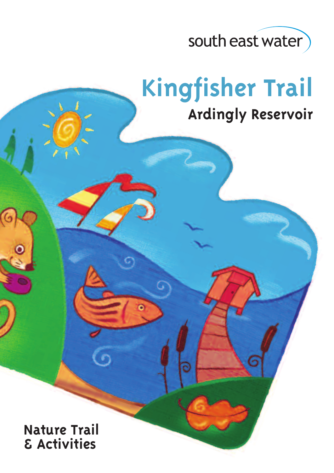

# **Kingfisher Trail**

# **Ardingly Reservoir**

**Nature Trail & Activities**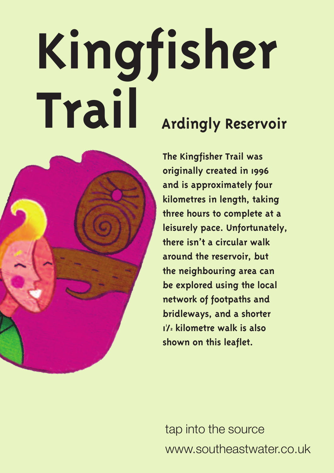# **Kingfisher Trail Ardingly Reservoir**



**The Kingfisher Trail was originally created in 1996 and is approximately four kilometres in length, taking three hours to complete at a leisurely pace. Unfortunately, there isn't a circular walk around the reservoir, but the neighbouring area can be explored using the local network of footpaths and bridleways, and a shorter 1 1 /2 kilometre walk is also shown on this leaflet.**

tap into the source www.southeastwater.co.uk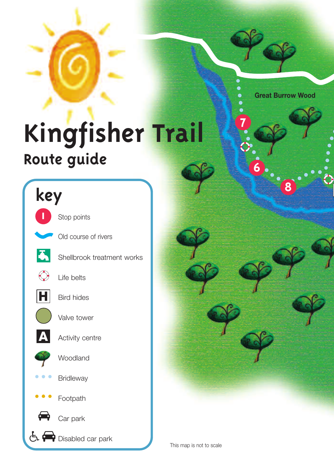**Great Burrow Wood**

**8**

# **Kingfisher Trail Route guide**





**7**

**6**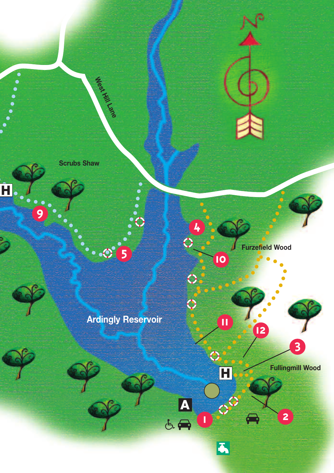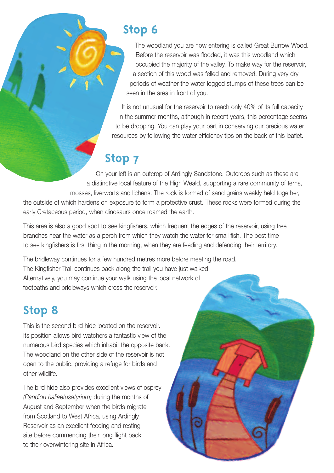# **Stop 6**

The woodland you are now entering is called Great Burrow Wood. Before the reservoir was flooded, it was this woodland which occupied the majority of the valley. To make way for the reservoir, a section of this wood was felled and removed. During very dry periods of weather the water logged stumps of these trees can be seen in the area in front of you.

It is not unusual for the reservoir to reach only 40% of its full capacity in the summer months, although in recent years, this percentage seems to be dropping. You can play your part in conserving our precious water resources by following the water efficiency tips on the back of this leaflet.

# **Stop 7**

On your left is an outcrop of Ardingly Sandstone. Outcrops such as these are a distinctive local feature of the High Weald, supporting a rare community of ferns, mosses, liverworts and lichens. The rock is formed of sand grains weakly held together, the outside of which hardens on exposure to form a protective crust. These rocks were formed during the early Cretaceous period, when dinosaurs once roamed the earth.

This area is also a good spot to see kingfishers, which frequent the edges of the reservoir, using tree branches near the water as a perch from which they watch the water for small fish. The best time to see kingfishers is first thing in the morning, when they are feeding and defending their territory.

The bridleway continues for a few hundred metres more before meeting the road. The Kingfisher Trail continues back along the trail you have just walked. Alternatively, you may continue your walk using the local network of footpaths and bridleways which cross the reservoir.

# **Stop 8**

This is the second bird hide located on the reservoir. Its position allows bird watchers a fantastic view of the numerous bird species which inhabit the opposite bank. The woodland on the other side of the reservoir is not open to the public, providing a refuge for birds and other wildlife.

The bird hide also provides excellent views of osprey *(Pandion haliaetusatyrium)* during the months of August and September when the birds migrate from Scotland to West Africa, using Ardingly Reservoir as an excellent feeding and resting site before commencing their long flight back to their overwintering site in Africa.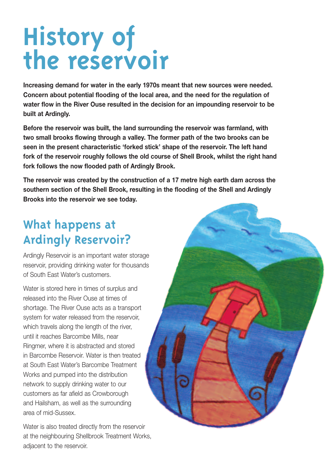# **History of the reservoir**

**Increasing demand for water in the early 1970s meant that new sources were needed. Concern about potential flooding of the local area, and the need for the regulation of water flow in the River Ouse resulted in the decision for an impounding reservoir to be built at Ardingly.**

**Before the reservoir was built, the land surrounding the reservoir was farmland, with two small brooks flowing through a valley. The former path of the two brooks can be seen in the present characteristic 'forked stick' shape of the reservoir. The left hand fork of the reservoir roughly follows the old course of Shell Brook, whilst the right hand fork follows the now flooded path of Ardingly Brook.**

**The reservoir was created by the construction of a 17 metre high earth dam across the southern section of the Shell Brook, resulting in the flooding of the Shell and Ardingly Brooks into the reservoir we see today.**

# **What happens at Ardingly Reservoir?**

Ardingly Reservoir is an important water storage reservoir, providing drinking water for thousands of South East Water's customers.

Water is stored here in times of surplus and released into the River Ouse at times of shortage. The River Ouse acts as a transport system for water released from the reservoir, which travels along the length of the river, until it reaches Barcombe Mills, near Ringmer, where it is abstracted and stored in Barcombe Reservoir. Water is then treated at South East Water's Barcombe Treatment Works and pumped into the distribution network to supply drinking water to our customers as far afield as Crowborough and Hailsham, as well as the surrounding area of mid-Sussex.

Water is also treated directly from the reservoir at the neighbouring Shellbrook Treatment Works, adjacent to the reservoir.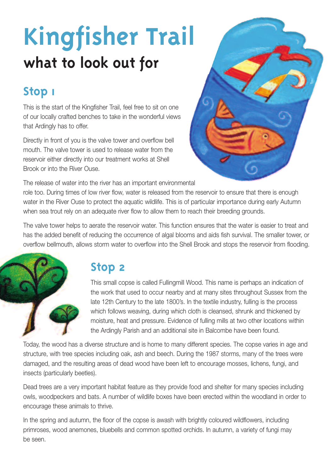# **Kingfisher Trail what to look out for**

# **Stop 1**

This is the start of the Kingfisher Trail, feel free to sit on one of our locally crafted benches to take in the wonderful views that Ardingly has to offer.

Directly in front of you is the valve tower and overflow bell mouth. The valve tower is used to release water from the reservoir either directly into our treatment works at Shell Brook or into the River Ouse.

The release of water into the river has an important environmental

role too. During times of low river flow, water is released from the reservoir to ensure that there is enough water in the River Ouse to protect the aquatic wildlife. This is of particular importance during early Autumn when sea trout rely on an adequate river flow to allow them to reach their breeding grounds.

The valve tower helps to aerate the reservoir water. This function ensures that the water is easier to treat and has the added benefit of reducing the occurrence of algal blooms and aids fish survival. The smaller tower, or overflow bellmouth, allows storm water to overflow into the Shell Brook and stops the reservoir from flooding.



# **Stop 2**

This small copse is called Fullingmill Wood. This name is perhaps an indication of the work that used to occur nearby and at many sites throughout Sussex from the late 12th Century to the late 1800's. In the textile industry, fulling is the process which follows weaving, during which cloth is cleansed, shrunk and thickened by moisture, heat and pressure. Evidence of fulling mills at two other locations within the Ardingly Parish and an additional site in Balcombe have been found.

Today, the wood has a diverse structure and is home to many different species. The copse varies in age and structure, with tree species including oak, ash and beech. During the 1987 storms, many of the trees were damaged, and the resulting areas of dead wood have been left to encourage mosses, lichens, fungi, and insects (particularly beetles).

Dead trees are a very important habitat feature as they provide food and shelter for many species including owls, woodpeckers and bats. A number of wildlife boxes have been erected within the woodland in order to encourage these animals to thrive.

In the spring and autumn, the floor of the copse is awash with brightly coloured wildflowers, including primroses, wood anemones, bluebells and common spotted orchids. In autumn, a variety of fungi may be seen.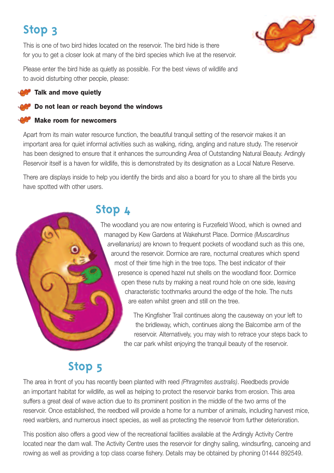# **Stop 3**

This is one of two bird hides located on the reservoir. The bird hide is there for you to get a closer look at many of the bird species which live at the reservoir.



Please enter the bird hide as quietly as possible. For the best views of wildlife and to avoid disturbing other people, please:

#### **Talk and move quietly**

#### **Do not lean or reach beyond the windows**

#### **Make room for newcomers**

Apart from its main water resource function, the beautiful tranquil setting of the reservoir makes it an important area for quiet informal activities such as walking, riding, angling and nature study. The reservoir has been designed to ensure that it enhances the surrounding Area of Outstanding Natural Beauty. Ardingly Reservoir itself is a haven for wildlife, this is demonstrated by its designation as a Local Nature Reserve.

There are displays inside to help you identify the birds and also a board for you to share all the birds you have spotted with other users.

# **Stop 4**

The woodland you are now entering is Furzefield Wood, which is owned and managed by Kew Gardens at Wakehurst Place. Dormice *(Muscardinus arvellanarius)* are known to frequent pockets of woodland such as this one, around the reservoir. Dormice are rare, nocturnal creatures which spend most of their time high in the tree tops. The best indicator of their presence is opened hazel nut shells on the woodland floor. Dormice open these nuts by making a neat round hole on one side, leaving characteristic toothmarks around the edge of the hole. The nuts are eaten whilst green and still on the tree.

> The Kingfisher Trail continues along the causeway on your left to the bridleway, which, continues along the Balcombe arm of the reservoir. Alternatively, you may wish to retrace your steps back to the car park whilst enjoying the tranquil beauty of the reservoir.

### **Stop 5**

The area in front of you has recently been planted with reed *(Phragmites australis)*. Reedbeds provide an important habitat for wildlife, as well as helping to protect the reservoir banks from erosion. This area suffers a great deal of wave action due to its prominent position in the middle of the two arms of the reservoir. Once established, the reedbed will provide a home for a number of animals, including harvest mice, reed warblers, and numerous insect species, as well as protecting the reservoir from further deterioration.

This position also offers a good view of the recreational facilities available at the Ardingly Activity Centre located near the dam wall. The Activity Centre uses the reservoir for dinghy sailing, windsurfing, canoeing and rowing as well as providing a top class coarse fishery. Details may be obtained by phoning 01444 892549.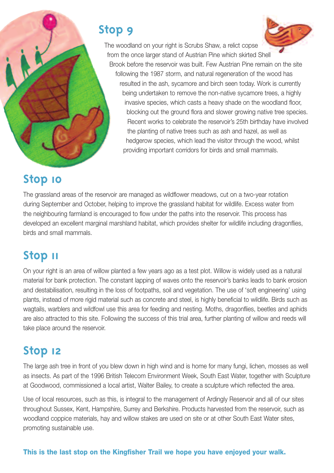# **Stop 9**



The woodland on your right is Scrubs Shaw, a relict copse from the once larger stand of Austrian Pine which skirted Shell Brook before the reservoir was built. Few Austrian Pine remain on the site following the 1987 storm, and natural regeneration of the wood has resulted in the ash, sycamore and birch seen today. Work is currently being undertaken to remove the non-native sycamore trees, a highly invasive species, which casts a heavy shade on the woodland floor, blocking out the ground flora and slower growing native tree species. Recent works to celebrate the reservoir's 25th birthday have involved the planting of native trees such as ash and hazel, as well as hedgerow species, which lead the visitor through the wood, whilst providing important corridors for birds and small mammals.

# **Stop 10**

The grassland areas of the reservoir are managed as wildflower meadows, cut on a two-year rotation during September and October, helping to improve the grassland habitat for wildlife. Excess water from the neighbouring farmland is encouraged to flow under the paths into the reservoir. This process has developed an excellent marginal marshland habitat, which provides shelter for wildlife including dragonflies, birds and small mammals.

# **Stop 11**

On your right is an area of willow planted a few years ago as a test plot. Willow is widely used as a natural material for bank protection. The constant lapping of waves onto the reservoir's banks leads to bank erosion and destabilisation, resulting in the loss of footpaths, soil and vegetation. The use of 'soft engineering' using plants, instead of more rigid material such as concrete and steel, is highly beneficial to wildlife. Birds such as wagtails, warblers and wildfowl use this area for feeding and nesting. Moths, dragonflies, beetles and aphids are also attracted to this site. Following the success of this trial area, further planting of willow and reeds will take place around the reservoir.

# **Stop 12**

The large ash tree in front of you blew down in high wind and is home for many fungi, lichen, mosses as well as insects. As part of the 1996 British Telecom Environment Week, South East Water, together with Sculpture at Goodwood, commissioned a local artist, Walter Bailey, to create a sculpture which reflected the area.

Use of local resources, such as this, is integral to the management of Ardingly Reservoir and all of our sites throughout Sussex, Kent, Hampshire, Surrey and Berkshire. Products harvested from the reservoir, such as woodland coppice materials, hay and willow stakes are used on site or at other South East Water sites, promoting sustainable use.